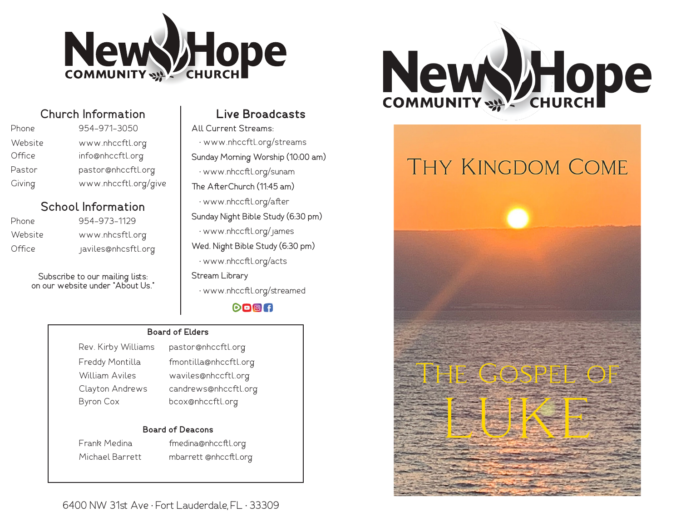

#### **Church Information**

| Phone   | 954-971-3050         |
|---------|----------------------|
| Website | www.nhccftl.org      |
| Office  | info@nhccftl.org     |
| Pastor  | pastor@nhccftl.org   |
| Giving  | www.nhccftl.org/give |
|         |                      |

#### **School Information**

| Phone   |  |
|---------|--|
| Website |  |
| Office  |  |

954-973-1129 www.nhcsftl.org javiles@nhcsftl.org

Subscribe to our mailing lists: on our website under "About Us."

#### **Live Broadcasts**

All Current Streams: • www.nhccftl.org/streams Sunday Morning Worship (10:00 am) • www.nhccftl.org/sunam The AfterChurch (11:45 am) • www.nhccftl.org/after Sunday Night Bible Study (6:30 pm) • www.nhccftl.org/james Wed. Night Bible Study (6:30 pm) • www.nhccftl.org/acts Stream Library • www.nhccftl.org/streamed $\bigcirc$   $\bigcirc$   $\bigcirc$   $\bigcirc$ 

#### **Board of Elders**

Rev. Kirby Williams pastor@nhccftl.org Freddy Montilla fmontilla@nhccftl.org William Aviles waviles@nhccftl.org Byron Cox bcox@nhccftl.org

# Clayton Andrews candrews@nhccftl.org

#### **Board of Deacons**

| Frank Medina    |
|-----------------|
| Michael Barrett |

fmedina@nhccftl.org mbarrett @nhccftl.org



## THY KINGDOM COME

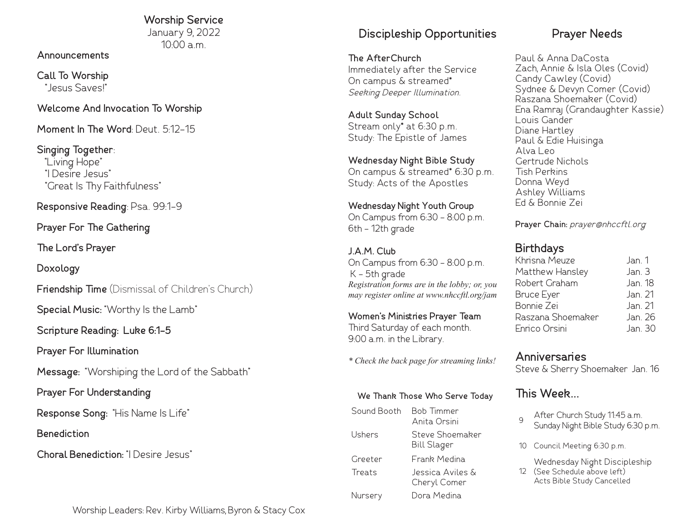#### **Worship Service**

January 9, 2022 10:00 a.m.

**Announcements**

**Call To Worship** "Jesus Saves!"

**Welcome And Invocation To Worship**

**Moment In The Word**: Deut. 5:12-15

**Singing Together**:

 "Living Hope" "I Desire Jesus" "Great Is Thy Faithfulness"

**Responsive Reading**: Psa. 99:1-9

**Prayer For The Gathering**

**The Lord's Prayer**

**Doxology**

**Friendship Time** (Dismissal of Children's Church)

**Special Music:** "Worthy Is the Lamb"

**Scripture Reading: Luke 6:1-5** 

**Prayer For Illumination**

**Message:** "Worshiping the Lord of the Sabbath"

**Prayer For Understanding**

**Response Song:** "His Name Is Life"

**Benediction**

**Choral Benediction:** "I Desire Jesus"

#### **Discipleship Opportunities** Prayer Needs

**The AfterChurch** Immediately after the Service On campus & streamed\* Seeking Deeper Illumination.

**Adult Sunday School**  Stream only\* at 6:30 p.m. Study: The Epistle of James

**Wednesday Night Bible Study** On campus & streamed\* 6:30 p.m. Study: Acts of the Apostles

**Wednesday Night Youth Group** On Campus from 6:30 - 8:00 p.m. 6th - 12th grade

**J.A.M. Club** On Campus from 6:30 - 8:00 p.m. K - 5th grade *Registration forms are in the lobby; or, you may register online at www.nhccftl.org/jam*

**Women's Ministries Prayer Team** Third Saturday of each month. 9:00 a.m. in the Library.

*\* Check the back page for streaming links!*

#### **We Thank Those Who Serve Today**

| Sound Booth | Roh Timmer<br>Anita Orsini            |
|-------------|---------------------------------------|
| llshers     | Steve Shoemaker<br><b>Bill Slager</b> |
| Greeter     | Frank Medina                          |
| Treats      | Jessica Aviles &<br>Cheryl Comer      |
| Nursery     | Dora Medina                           |

Paul & Anna DaCosta Zach, Annie & Isla Oles (Covid) Candy Cawley (Covid) Sydnee & Devyn Comer (Covid) Raszana Shoemaker (Covid) Ena Ramraj (Grandaughter Kassie) Louis Gander Diane Hartley Paul & Edie Huisinga Alva Leo Gertrude Nichols Tish Perkins Donna Weyd Ashley Williams Ed & Bonnie Zei

**Prayer Chain:** prayer@nhccftl.org

#### **Birthdays**

| Khrisna Meuze     | Jan. 1  |
|-------------------|---------|
| Matthew Hansley   | Jan. 3  |
| Robert Graham     | Jan. 18 |
| Bruce Eyer        | Jan. 21 |
| Bonnie Zei        | Jan. 21 |
| Raszana Shoemaker | Jan. 26 |
| Enrico Orsini     | Jan. 30 |
|                   |         |

#### **Anniversaries**

Steve & Sherry Shoemaker Jan. 16

#### **This Week...**

- 9 After Church Study 11:45 a.m. Sunday Night Bible Study 6:30 p.m.
- 10 Council Meeting 6:30 p.m.
- Wednesday Night Discipleship
- 12 (See Schedule above left) Acts Bible Study Cancelled

Worship Leaders: Rev. Kirby Williams, Byron & Stacy Cox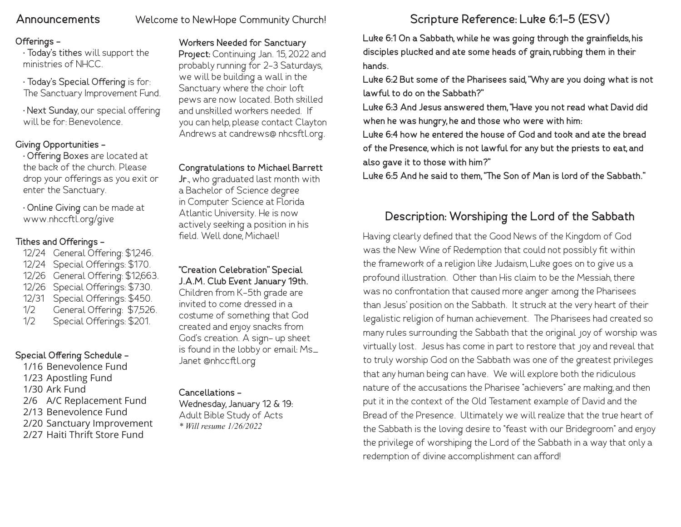#### **Announcements** Welcome to NewHope Community Church!

#### **Offerings -**

• Today's tithes will support the ministries of NHCC.

• Today's Special Offering is for: The Sanctuary Improvement Fund.

• Next Sunday, our special offering will be for: Benevolence.

#### **Giving Opportunities -**

• Offering Boxes are located at the back of the church. Please drop your offerings as you exit or enter the Sanctuary.

• Online Giving can be made at www.nhccftl.org/give

#### **Tithes and Offerings -**

12/24 General Offering: \$1,246.

- 12/24 Special Offerings: \$170.
- 12/26 General Offering: \$12,663.
- 12/26 Special Offerings: \$730.
- 12/31 Special Offerings: \$450.
- 1/2 General Offering: \$7,526.
- 1/2 Special Offerings: \$201.

#### **Special Offering Schedule -**

- 1/16 Benevolence Fund
- 1/23 Apostling Fund
- 1/30 Ark Fund
- 2/6 A/C Replacement Fund
- 2/13 Benevolence Fund
- 2/20 Sanctuary Improvement
- 2/27 Haiti Thrift Store Fund

**Workers Needed for Sanctuary** 

**Project:** Continuing Jan. 15, 2022 and probably running for 2-3 Saturdays, we will be building a wall in the Sanctuary where the choir loft pews are now located. Both skilled and unskilled workers needed. If you can help, please contact Clayton Andrews at candrews@ nhcsftl.org.

#### **Congratulations to Michael Barrett**

**Jr.**, who graduated last month with a Bachelor of Science degree in Computer Science at Florida Atlantic University. He is now actively seeking a position in his field. Well done, Michael!

**"Creation Celebration" Special J.A.M. Club Event January 19th.**

Children from K-5th grade are invited to come dressed in a costume of something that God created and enjoy snacks from God's creation. A sign- up sheet is found in the lobby or email: Ms\_ Janet @nhccftl.org

#### **Cancellations -**

Wednesday, January 12 & 19: Adult Bible Study of Acts *\* Will resume 1/26/2022*

#### **Scripture Reference: Luke 6:1-5 (ESV)**

**Luke 6:1 On a Sabbath, while he was going through the grainfields, his disciples plucked and ate some heads of grain, rubbing them in their hands.**

**Luke 6:2 But some of the Pharisees said, "Why are you doing what is not lawful to do on the Sabbath?"**

**Luke 6:3 And Jesus answered them, "Have you not read what David did when he was hungry, he and those who were with him:**

**Luke 6:4 how he entered the house of God and took and ate the bread of the Presence, which is not lawful for any but the priests to eat, and also gave it to those with him?"**

**Luke 6:5 And he said to them, "The Son of Man is lord of the Sabbath."**

### **Description: Worshiping the Lord of the Sabbath**

Having clearly defined that the Good News of the Kingdom of God was the New Wine of Redemption that could not possibly fit within the framework of a religion like Judaism, Luke goes on to give us a profound illustration. Other than His claim to be the Messiah, there was no confrontation that caused more anger among the Pharisees than Jesus' position on the Sabbath. It struck at the very heart of their legalistic religion of human achievement. The Pharisees had created so many rules surrounding the Sabbath that the original joy of worship was virtually lost. Jesus has come in part to restore that joy and reveal that to truly worship God on the Sabbath was one of the greatest privileges that any human being can have. We will explore both the ridiculous nature of the accusations the Pharisee "achievers" are making, and then put it in the context of the Old Testament example of David and the Bread of the Presence. Ultimately we will realize that the true heart of the Sabbath is the loving desire to "feast with our Bridegroom" and enjoy the privilege of worshiping the Lord of the Sabbath in a way that only a redemption of divine accomplishment can afford!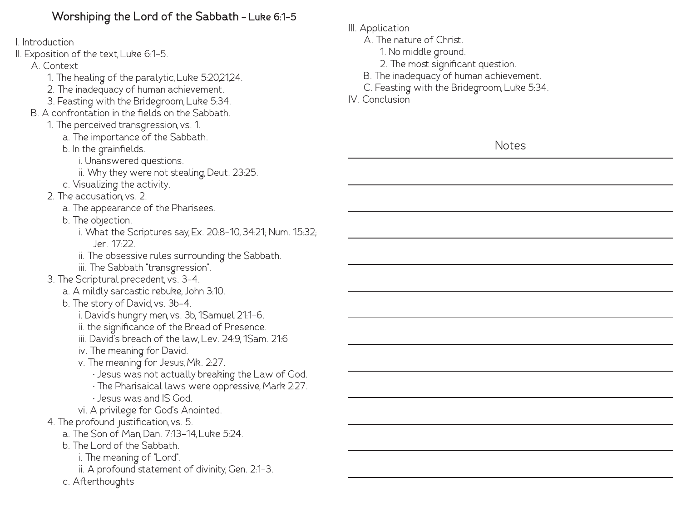#### III. Application A. The nature of Christ. 1. No middle ground. 2. The most significant question. B. The inadequacy of human achievement. C. Feasting with the Bridegroom, Luke 5:34. IV. Conclusion I. Introduction II. Exposition of the text, Luke 6:1-5. A. Context 1. The healing of the paralytic, Luke 5:20,21,24. 2. The inadequacy of human achievement. 3. Feasting with the Bridegroom, Luke 5:34. B. A confrontation in the fields on the Sabbath. 1. The perceived transgression, vs. 1. a. The importance of the Sabbath. b. In the grainfields. i. Unanswered questions. ii. Why they were not stealing, Deut. 23:25. c. Visualizing the activity. 2. The accusation, vs. 2. a. The appearance of the Pharisees. b. The objection. i. What the Scriptures say, Ex. 20:8-10, 34:21; Num. 15:32; Jer. 17:22. ii. The obsessive rules surrounding the Sabbath. iii. The Sabbath "transgression". 3. The Scriptural precedent, vs. 3-4. a. A mildly sarcastic rebuke, John 3:10. b. The story of David, vs. 3b-4. i. David's hungry men, vs. 3b, 1Samuel 21:1-6. ii. the significance of the Bread of Presence. iii. David's breach of the law, Lev. 24:9, 1Sam. 21:6 iv. The meaning for David. v. The meaning for Jesus, Mk. 2:27. **Worshiping the Lord of the Sabbath - Luke 6:1-5** Notes

- Jesus was not actually breaking the Law of God.
- The Pharisaical laws were oppressive, Mark 2:27.
- Jesus was and IS God.
- vi. A privilege for God's Anointed.
- 4. The profound justification, vs. 5.
	- a. The Son of Man, Dan. 7:13-14, Luke 5:24.
	- b. The Lord of the Sabbath.
		- i. The meaning of "Lord".
		- ii. A profound statement of divinity, Gen. 2:1-3.
	- c. Afterthoughts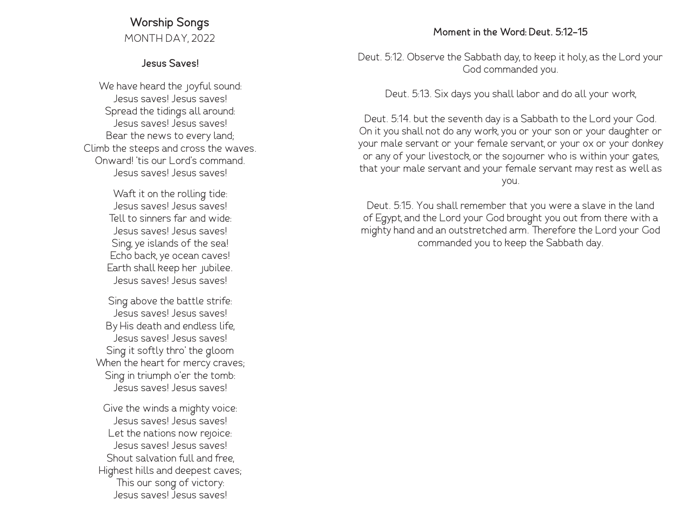## **Worship Songs**

#### **Jesus Saves!**

We have heard the joyful sound: Jesus saves! Jesus saves! Spread the tidings all around: Jesus saves! Jesus saves! Bear the news to every land; Climb the steeps and cross the waves. Onward! 'tis our Lord's command. Jesus saves! Jesus saves!

> Waft it on the rolling tide: Jesus saves! Jesus saves! Tell to sinners far and wide: Jesus saves! Jesus saves! Sing, ye islands of the sea! Echo back, ye ocean caves! Earth shall keep her jubilee. Jesus saves! Jesus saves!

Sing above the battle strife: Jesus saves! Jesus saves! By His death and endless life, Jesus saves! Jesus saves! Sing it softly thro' the gloom When the heart for mercy craves; Sing in triumph o'er the tomb: Jesus saves! Jesus saves!

Give the winds a mighty voice: Jesus saves! Jesus saves! Let the nations now rejoice: Jesus saves! Jesus saves! Shout salvation full and free, Highest hills and deepest caves; This our song of victory: Jesus saves! Jesus saves!

Deut. 5:12. Observe the Sabbath day, to keep it holy, as the Lord your God commanded you.

Deut. 5:13. Six days you shall labor and do all your work,

Deut. 5:14. but the seventh day is a Sabbath to the Lord your God. On it you shall not do any work, you or your son or your daughter or your male servant or your female servant, or your ox or your donkey or any of your livestock, or the sojourner who is within your gates, that your male servant and your female servant may rest as well as you.

Deut. 5:15. You shall remember that you were a slave in the land of Egypt, and the Lord your God brought you out from there with a mighty hand and an outstretched arm. Therefore the Lord your God commanded you to keep the Sabbath day.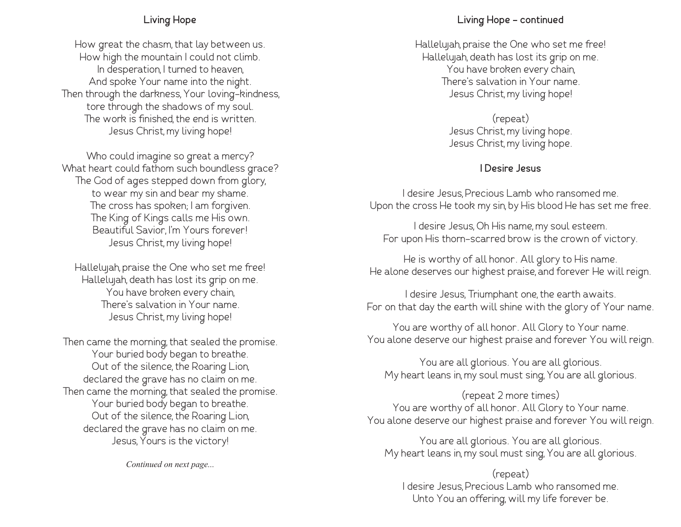#### **Living Hope**

How great the chasm, that lay between us. How high the mountain I could not climb. In desperation, I turned to heaven, And spoke Your name into the night. Then through the darkness, Your loving-kindness, tore through the shadows of my soul. The work is finished, the end is written. Jesus Christ, my living hope!

Who could imagine so great a mercy? What heart could fathom such boundless grace? The God of ages stepped down from glory, to wear my sin and bear my shame. The cross has spoken; I am forgiven. The King of Kings calls me His own. Beautiful Savior, I'm Yours forever! Jesus Christ, my living hope!

Hallelujah, praise the One who set me free! Hallelujah, death has lost its grip on me. You have broken every chain, There's salvation in Your name. Jesus Christ, my living hope!

Then came the morning, that sealed the promise. Your buried body began to breathe. Out of the silence, the Roaring Lion, declared the grave has no claim on me. Then came the morning, that sealed the promise. Your buried body began to breathe. Out of the silence, the Roaring Lion, declared the grave has no claim on me. Jesus, Yours is the victory!

*Continued on next page...*

#### **Living Hope - continued**

Hallelujah, praise the One who set me free! Hallelujah, death has lost its grip on me. You have broken every chain, There's salvation in Your name. Jesus Christ, my living hope!

> (repeat) Jesus Christ, my living hope. Jesus Christ, my living hope.

#### **I Desire Jesus**

I desire Jesus, Precious Lamb who ransomed me. Upon the cross He took my sin, by His blood He has set me free.

I desire Jesus, Oh His name, my soul esteem. For upon His thorn-scarred brow is the crown of victory.

He is worthy of all honor. All glory to His name. He alone deserves our highest praise, and forever He will reign.

I desire Jesus, Triumphant one, the earth awaits. For on that day the earth will shine with the glory of Your name.

You are worthy of all honor. All Glory to Your name. You alone deserve our highest praise and forever You will reign.

You are all glorious. You are all glorious. My heart leans in, my soul must sing, You are all glorious.

(repeat 2 more times) You are worthy of all honor. All Glory to Your name. You alone deserve our highest praise and forever You will reign.

You are all glorious. You are all glorious. My heart leans in, my soul must sing, You are all glorious.

(repeat) I desire Jesus, Precious Lamb who ransomed me. Unto You an offering, will my life forever be.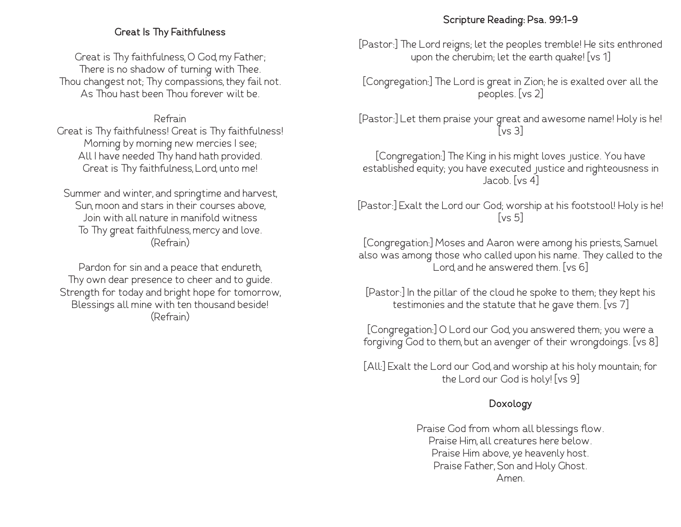#### **Great Is Thy Faithfulness**

Great is Thy faithfulness, O God, my Father; There is no shadow of turning with Thee. Thou changest not; Thy compassions, they fail not. As Thou hast been Thou forever wilt be.

Refrain Great is Thy faithfulness! Great is Thy faithfulness! Morning by morning new mercies I see; All I have needed Thy hand hath provided. Great is Thy faithfulness, Lord, unto me!

Summer and winter, and springtime and harvest, Sun, moon and stars in their courses above, Join with all nature in manifold witness To Thy great faithfulness, mercy and love. (Refrain)

Pardon for sin and a peace that endureth, Thy own dear presence to cheer and to guide. Strength for today and bright hope for tomorrow, Blessings all mine with ten thousand beside! (Refrain)

#### **Scripture Reading: Psa. 99:1-9**

[Pastor:] The Lord reigns; let the peoples tremble! He sits enthroned upon the cherubim; let the earth quake! [vs 1]

[Congregation:] The Lord is great in Zion; he is exalted over all the peoples. [vs 2]

[Pastor:] Let them praise your great and awesome name! Holy is he! [vs 3]

[Congregation:] The King in his might loves justice. You have established equity; you have executed justice and righteousness in Jacob. [vs 4]

[Pastor:] Exalt the Lord our God; worship at his footstool! Holy is he!  $\sqrt{v}$ s 51

[Congregation:] Moses and Aaron were among his priests, Samuel also was among those who called upon his name. They called to the Lord, and he answered them. [vs 6]

[Pastor:] In the pillar of the cloud he spoke to them; they kept his testimonies and the statute that he gave them. [vs 7]

[Congregation:] O Lord our God, you answered them; you were a forgiving God to them, but an avenger of their wrongdoings. [vs 8]

[All:] Exalt the Lord our God, and worship at his holy mountain; for the Lord our God is holy! [vs 9]

#### **Doxology**

Praise God from whom all blessings flow. Praise Him, all creatures here below. Praise Him above, ye heavenly host. Praise Father, Son and Holy Ghost. Amen.